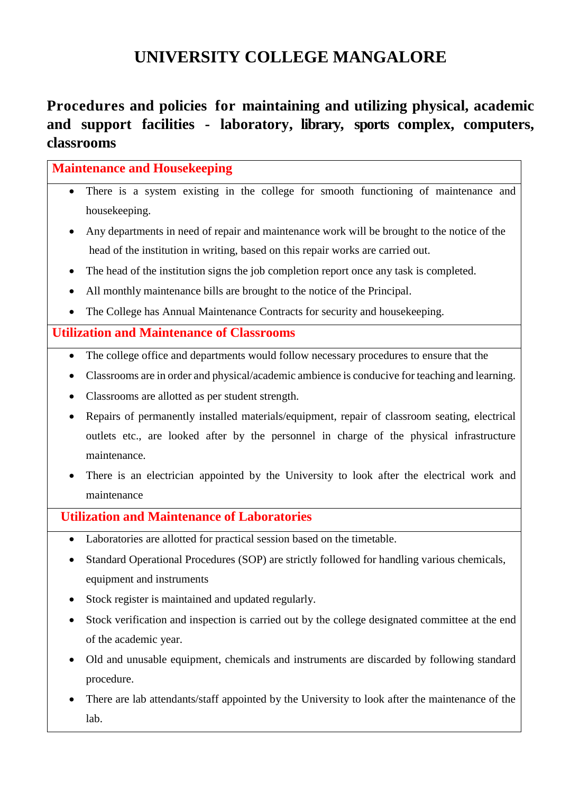# **UNIVERSITY COLLEGE MANGALORE**

## **Procedures and policies for maintaining and utilizing physical, academic and support facilities - laboratory, library, sports complex, computers, classrooms**

### **Maintenance and Housekeeping**

- There is a system existing in the college for smooth functioning of maintenance and housekeeping.
- Any departments in need of repair and maintenance work will be brought to the notice of the head of the institution in writing, based on this repair works are carried out.
- The head of the institution signs the job completion report once any task is completed.
- All monthly maintenance bills are brought to the notice of the Principal.
- The College has Annual Maintenance Contracts for security and housekeeping.

#### **Utilization and Maintenance of Classrooms**

- The college office and departments would follow necessary procedures to ensure that the
- Classrooms are in order and physical/academic ambience is conducive for teaching and learning.
- Classrooms are allotted as per student strength.
- Repairs of permanently installed materials/equipment, repair of classroom seating, electrical outlets etc., are looked after by the personnel in charge of the physical infrastructure maintenance.
- There is an electrician appointed by the University to look after the electrical work and maintenance

#### **Utilization and Maintenance of Laboratories**

- Laboratories are allotted for practical session based on the timetable.
- Standard Operational Procedures (SOP) are strictly followed for handling various chemicals, equipment and instruments
- Stock register is maintained and updated regularly.
- Stock verification and inspection is carried out by the college designated committee at the end of the academic year.
- Old and unusable equipment, chemicals and instruments are discarded by following standard procedure.
- There are lab attendants/staff appointed by the University to look after the maintenance of the lab.